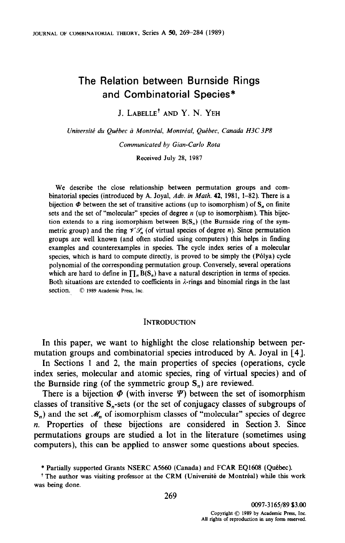# The Relation between Burnside Rings and Combinatorial Species\*

J. LABELLE+ AND Y. N. YEH

Université du Québec à Montréal, Montréal, Québec, Canada H3C3P8

Communicated by Gian-Carlo Rota

Received July 28, 1987

We describe the close relationship between permutation groups and combinatorial species (introduced by A. Joyal, Adv. in Math. 42, 1981, 1-82). There is a bijection  $\Phi$  between the set of transitive actions (up to isomorphism) of  $S_n$  on finite sets and the set of "molecular" species of degree  $n$  (up to isomorphism). This bijection extends to a ring isomorphism between  $B(S_n)$  (the Burnside ring of the symmetric group) and the ring  $\mathscr{V}\mathscr{G}_n$  (of virtual species of degree *n*). Since permutation groups are well known (and often studied using computers) this helps in finding examples and counterexamples in species. The cycle index series of a molecular species, which is hard to compute directly, is proved to be simply the (P6lya) cycle polynomial of the corresponding permutation group. Conversely, several operations which are hard to define in  $\prod_{n} B(S_n)$  have a natural description in terms of species. Both situations are extended to coefficients in  $\lambda$ -rings and binomial rings in the last section. © 1989 Academic Press, Inc.

#### **INTRODUCTION**

In this paper, we want to highlight the close relationship between permutation groups and combinatorial species introduced by A. Joyal in [4].

In Sections 1 and 2, the main properties of species (operations, cycle index series, molecular and atomic species, ring of virtual species) and of the Burnside ring (of the symmetric group S,) are reviewed.

There is a bijection  $\Phi$  (with inverse  $\Psi$ ) between the set of isomorphism classes of transitive &-sets (or the set of conjugacy classes of subgroups of  $S_n$ ) and the set  $\mathcal{M}_n$  of isomorphism classes of "molecular" species of degree n. Properties of these bijections are considered in Section 3. Since permutations groups are substituted in section 3. Since permutations groups are studied a for in the merature (sometimes usin

<sup>\*</sup> Partially supported Grants NSERC A5660 (Canada) and FCAR EQ1608 (Québec).

<sup>&</sup>lt;sup>†</sup> The author was visiting professor at the CRM (Université de Montréal) while this work was being done.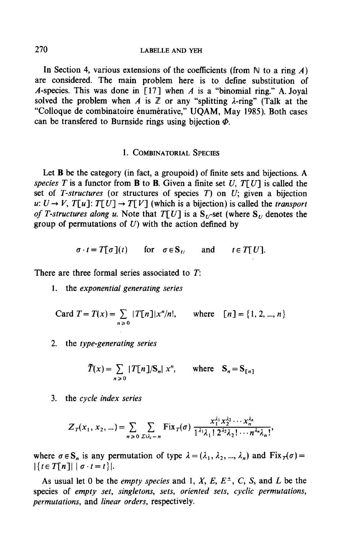In Section 4, various extensions of the coefficients (from  $\mathbb N$  to a ring A) are considered. The main problem here is to define substitution of A-species. This was done in [17] when A is a "binomial ring." A. Joyal solved the problem when A is  $\mathbb Z$  or any "splitting  $\lambda$ -ring" (Talk at the "Colloque de combinatoire énumérative," UOAM, May 1985). Both cases can be transfered to Burnside rings using bijection  $\Phi$ .

#### 1. COMBINATORIAL SPECIES

Let **B** be the category (in fact, a groupoid) of finite sets and bijections. A species T is a functor from **B** to **B**. Given a finite set U,  $T[U]$  is called the set of T-structures (or structures of species  $T$ ) on  $U$ ; given a bijection u:  $U \rightarrow V$ ,  $T[u]$ :  $T[U] \rightarrow T[V]$  (which is a bijection) is called the *transport* of T-structures along u. Note that  $T[U]$  is a  $S_{U}$ -set (where  $S_{U}$  denotes the group of permutations of  $U$ ) with the action defined by

$$
\sigma \cdot t = T[\sigma](t)
$$
 for  $\sigma \in S_U$  and  $t \in T[U]$ .

There are three formal series associated to T:

1. the exponential generating series

Card 
$$
T = T(x) = \sum_{n \ge 0} |T[n]|x^n/n!
$$
, where  $[n] = \{1, 2, ..., n\}$ 

2. the type-generating series

$$
\tilde{T}(x) = \sum_{n \ge 0} |T[n]/S_n| x^n, \quad \text{where} \quad S_n = S_{n}
$$

3. the cycle index series

$$
Z_T(x_1, x_2, ...) = \sum_{n \geq 0} \sum_{\sum i \lambda_i = n} \text{Fix}_T(\sigma) \frac{x_1^{\lambda_1} x_2^{\lambda_2} \cdots x_n^{\lambda_n}}{1^{\lambda_1} \lambda_1! \, 2^{\lambda_2} \lambda_2! \cdots n^{\lambda_n} \lambda_n!},
$$

where rr~S, is any permutation of type A= (A,, I,, . . . . 1,) and FixAcr) = where  $0 \in S_n$  is any

As usual let 0 be the *empty species* and 1, X, E,  $E^{\pm}$ , C, S, and L be the As usual let  $\sigma$  be the *empty species* and 1, A, E, E, C, C, S, and E octured sets species of *empty set*, *singurons*, *sets*, *orte*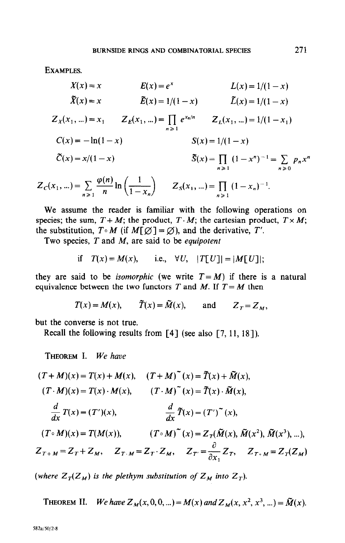EXAMPLES.

$$
X(x) = x \t E(x) = e^{x} \t L(x) = 1/(1 - x)
$$
  
\n
$$
\tilde{X}(x) = x \t \tilde{E}(x) = 1/(1 - x) \t \tilde{L}(x) = 1/(1 - x)
$$
  
\n
$$
Z_{X}(x_{1}, ...)=x_{1} \t Z_{E}(x_{1}, ...)=\prod_{n\geq 1}e^{x_{n}/n} \t Z_{L}(x_{1}, ...)=1/(1 - x_{1})
$$
  
\n
$$
C(x) = -\ln(1 - x) \t S(x) = 1/(1 - x)
$$
  
\n
$$
\tilde{C}(x) = x/(1 - x) \t \tilde{S}(x) = \prod_{n\geq 1} (1 - x^{n})^{-1} = \sum_{n\geq 0} p_{n}x^{n}
$$
  
\n
$$
x_{1}, ... = \sum_{n\geq 0} \frac{\varphi(n)}{n} \ln\left(\frac{1}{1-\alpha}\right) \t Z_{S}(x_{1}, ...)=\prod_{n\geq 0} (1 - x_{n})^{-1}.
$$

$$
Z_C(x_1, ...)=\sum_{n\geqslant 1}\frac{\varphi(n)}{n}\ln\left(\frac{1}{1-x_n}\right) \qquad Z_S(x_1, ...)=\prod_{n\geqslant 1}\left(1-x_n\right)^{-1}.
$$

We assume the reader is familiar with the following operations on species; the sum,  $T + M$ ; the product,  $T \cdot M$ ; the cartesian product,  $T \times M$ ; the substitution,  $T \circ M$  (if  $M[\varnothing] = \varnothing$ ), and the derivative,  $T'$ .

Two species,  $T$  and  $M$ , are said to be *equipotent* 

if 
$$
T(x) = M(x)
$$
, i.e.,  $\forall U$ ,  $|T[U]| = |M[U]|$ ;

they are said to be *isomorphic* (we write  $T = M$ ) if there is a natural equivalence between the two functors T and M. If  $T = M$  then

$$
T(x) = M(x)
$$
,  $\tilde{T}(x) = \tilde{M}(x)$ , and  $Z_T = Z_M$ ,

but the converse is not true.

Recall the following results from [4] (see also [7, 11, 18]).

THEOREM I. We have

$$
(T+M)(x) = T(x) + M(x), \quad (T+M)^{\sim}(x) = \tilde{T}(x) + \tilde{M}(x),
$$
  
\n
$$
(T \cdot M)(x) = T(x) \cdot M(x), \quad (T \cdot M)^{\sim}(x) = \tilde{T}(x) \cdot \tilde{M}(x),
$$
  
\n
$$
\frac{d}{dx} T(x) = (T')(x), \quad \frac{d}{dx} \tilde{T}(x) = (T')^{\sim}(x),
$$
  
\n
$$
(T \circ M)(x) = T(M(x)), \quad (T \circ M)^{\sim}(x) = Z_T(\tilde{M}(x), \tilde{M}(x^2), \tilde{M}(x^3), \ldots),
$$
  
\n
$$
Z_{T+M} = Z_T + Z_M, \quad Z_{T \cdot M} = Z_T \cdot Z_M, \quad Z_{T'} = \frac{\partial}{\partial x_1} Z_T, \quad Z_{T \cdot M} = Z_T(Z_M)
$$

(where  $Z_T(Z_M)$  is the plethym substitution of  $Z_M$  into  $Z_T$ ).

**THEOREM II.** We have 
$$
Z_M(x, 0, 0, ...)=M(x)
$$
 and  $Z_M(x, x^2, x^3, ...)=\tilde{M}(x)$ .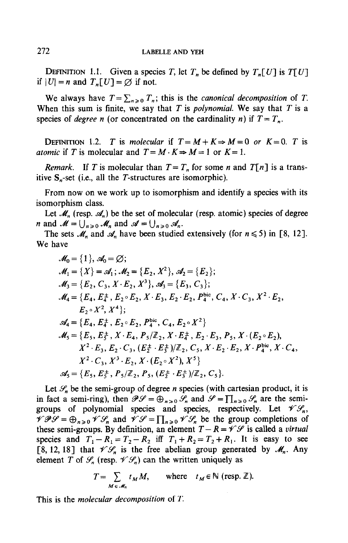DEFINITION 1.1. Given a species T, let  $T_n$  be defined by  $T_n[U]$  is  $T[U]$ if  $|U| = n$  and  $T_n[U] = \emptyset$  if not.

We always have  $T = \sum_{n\geq 0} T_n$ ; this is the *canonical decomposition* of T. When this sum is finite, we say that  $T$  is polynomial. We say that  $T$  is a species of *degree n* (or concentrated on the cardinality *n*) if  $T = T_n$ .

DEFINITION 1.2. T is molecular if  $T = M + K \Rightarrow M = 0$  or  $K = 0$ . T is atomic if T is molecular and  $T = M \cdot K \Rightarrow M = 1$  or  $K = 1$ .

*Remark.* If T is molecular than  $T = T_n$  for some n and  $T[n]$  is a transitive  $S_n$ -set (i.e., all the T-structures are isomorphic).

From now on we work up to isomorphism and identify a species with its isomorphism class.

Let  $\mathcal{M}_n$  (resp.  $\mathcal{A}_n$ ) be the set of molecular (resp. atomic) species of degree *n* and  $M = \bigcup_{n \geq 0} M_n$  and  $\mathcal{A} = \bigcup_{n \geq 0} \mathcal{A}_n$ .

The sets  $\mathcal{M}_n$  and  $\mathcal{A}_n$  have been studied extensively (for  $n \leq 5$ ) in [8, 12]. We have

$$
\mathcal{M}_0 = \{1\}, \mathcal{A}_0 = \emptyset; \n\mathcal{M}_1 = \{X\} = \mathcal{A}_1; \mathcal{M}_2 = \{E_2, X^2\}, \mathcal{A}_2 = \{E_2\}; \n\mathcal{M}_3 = \{E_2, C_3, X \cdot E_2, X^3\}, \mathcal{A}_3 = \{E_3, C_3\}; \n\mathcal{M}_4 = \{E_4, E_4^{\pm}, E_2 \circ E_2, X \cdot E_3, E_2 \cdot E_2, P_4^{\text{bic}}, C_4, X \cdot C_3, X^2 \cdot E_2, E_2 \cdot X^2, X^4\}; \n\mathcal{A}_4 = \{E_4, E_4^{\pm}, E_2 \circ E_2, P_4^{\text{bic}}, C_4, E_2 \circ X^2\} \n\mathcal{M}_5 = \{E_5, E_5^{\pm}, X \cdot E_4, P_5/\mathbb{Z}_2, X \cdot E_4^{\pm}, E_2 \cdot E_3, P_5, X \cdot (E_2 \circ E_2), \nX^2 \cdot E_3, E_2 \cdot C_3, (E_2^{\pm} \cdot E_3^{\pm})/\mathbb{Z}_2, C_5, X \cdot E_2 \cdot E_2, X \cdot P_4^{\text{bic}}, X \cdot C_4, \nX^2 \cdot C_3, X^3 \cdot E_2, X \cdot (E_2 \circ X^2), X^5\} \n\mathcal{A}_5 = \{E_5, E_5^{\pm}, P_5/\mathbb{Z}_2, P_5, (E_2^{\pm} \cdot E_3^{\pm})/\mathbb{Z}_2, C_5\}.
$$

Let  $\mathcal{S}_n$  be the semi-group of degree *n* species (with cartesian product, it is in fact a semi-ring), then  $\mathscr{P}\mathscr{S} = \bigoplus_{n>0} \mathscr{S}_n$  and  $\mathscr{S} = \prod_{n\geq 0} \mathscr{S}_n$  are the semigroups of polynomial species and species, respectively. Let  $\mathcal{V}\mathcal{S}_n$ ,  $\mathscr{VPI} = \bigoplus_{n\geq 0} \mathscr{V}\mathscr{S}_n$  and  $\mathscr{VPI} = \prod_{n\geq 0} \mathscr{V}\mathscr{S}_n$  be the group completions of these semi-groups. By definition, an element  $T-R = \mathscr{V}\mathscr{S}$  is called a virtual these semi-groups. By definition, an element  $T = R - T$ ,  $\sigma$  is earlier a *entinem* species and  $Y_1 - N_1 = Y_2 - N_2$  in  $Y_1 + N_2 = Y_2 + N_1$ . At is easy to see [8, 12, 18] that  $\mathscr{V}\mathscr{S}_n$  is the free abelian group generated by  $\mathscr{M}_n$ . Any element T of  $\mathscr{S}_n$  (resp.  $\mathscr{V}\mathscr{S}_n$ ) can the written uniquely as

$$
T = \sum_{M \in \mathcal{M}_n} t_M M, \quad \text{where} \quad t_M \in \mathbb{N} \text{ (resp. } \mathbb{Z}\text{).}
$$

This is the molecular decomposition of T.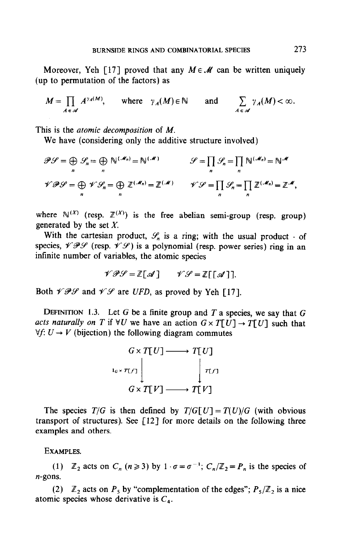Moreover, Yeh [17] proved that any  $M \in \mathcal{M}$  can be written uniquely (up to permutation of the factors) as

$$
M = \prod_{A \in \mathscr{A}} A^{\gamma_A(M)}, \quad \text{where} \quad \gamma_A(M) \in \mathbb{N} \quad \text{and} \quad \sum_{A \in \mathscr{A}} \gamma_A(M) < \infty.
$$

This is the *atomic decomposition* of M.

We have (considering only the additive structure involved)

$$
\mathcal{P}\mathcal{G} = \bigoplus_{n} \mathcal{G}_{n} = \bigoplus_{n} \mathbb{N}^{(\mathcal{M}_{n})} = \mathbb{N}^{(\mathcal{M})} \qquad \qquad \mathcal{G} = \prod_{n} \mathcal{G}_{n} = \prod_{n} \mathbb{N}^{(\mathcal{M}_{n})} = \mathbb{N}^{\mathcal{M}}
$$
  

$$
\mathcal{V}\mathcal{P}\mathcal{G} = \bigoplus_{n} \mathcal{V}\mathcal{G}_{n} = \bigoplus_{n} \mathbb{Z}^{(\mathcal{M}_{n})} = \mathbb{Z}^{(\mathcal{M})} \qquad \mathcal{V}\mathcal{G} = \prod_{n} \mathcal{G}_{n} = \prod_{n} \mathbb{Z}^{(\mathcal{M}_{n})} = \mathbb{Z}^{\mathcal{M}},
$$

where  $\mathbb{N}^{(X)}$  (resp.  $\mathbb{Z}^{(X)}$ ) is the free abelian semi-group (resp. group) generated by the set  $X$ .

With the cartesian product,  $\mathcal{S}_n$  is a ring; with the usual product  $\cdot$  of species,  $\mathcal{VIPG}$  (resp.  $\mathcal{VIP}$ ) is a polynomial (resp. power series) ring in an infinite number of variables, the atomic species

$$
\mathscr{V}\mathscr{P}\mathscr{G}=\mathbb{Z}[\mathscr{A}] \qquad \mathscr{V}\mathscr{G}=\mathbb{Z}[[\mathscr{A}]].
$$

Both  $\mathscr{VPI}$  and  $\mathscr{VPI}$  are UFD, as proved by Yeh [17].

DEFINITION 1.3. Let G be a finite group and T a species, we say that  $G$ acts naturally on T if  $\forall U$  we have an action  $G \times T[U] \rightarrow T[U]$  such that  $\forall f: U \rightarrow V$  (bijection) the following diagram commutes



The species  $T/G$  is then defined by  $T/G[U] = T(U)/G$  (with obvious transport of structures). See  $\lceil 12 \rceil$  for more details on the following three examples and others.

EXAMPLES.

(1)  $\mathbb{Z}_2$  acts on  $C_n$  ( $n \ge 3$ ) by  $1 \cdot \sigma = \sigma^{-1}$ ;  $C_n/\mathbb{Z}_2 = P_n$  is the species of n-gons.

 $\overline{a}$   $\overline{a}$  and  $\overline{a}$  and  $\overline{a}$  and  $\overline{a}$  is a nice-point of the edges  $\overline{a}$ (2)  $\mathbb{Z}_2$  acts on  $\mathbb{Z}_5$  by complement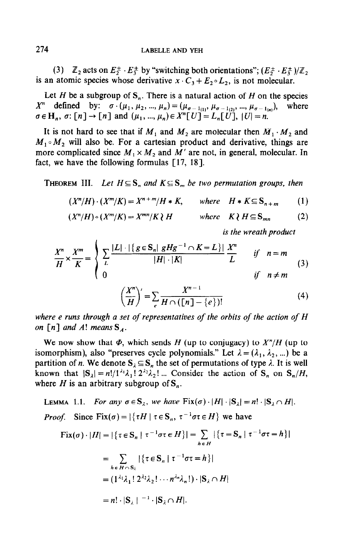(3)  $\mathbb{Z}_2$  acts on  $E_2^{\pm} \cdot E_3^{\pm}$  by "switching both orientations";  $(E_2^{\pm} \cdot E_3^{\pm})/\mathbb{Z}_2$ is an atomic species whose derivative  $x \cdot C_3 + E_2 \circ L_2$ , is not molecular.

Let H be a subgroup of  $S_n$ . There is a natural action of H on the species  $X^n$  defined by:  $\sigma \cdot (\mu_1, \mu_2, ..., \mu_n) = (\mu_{\sigma-1} \dots, \mu_{\sigma-1} \dots, \mu_{\sigma-1} \dots)$ , where  $\sigma \in \mathbb{H}_n$ ,  $\sigma: \lceil n \rceil \to \lceil n \rceil$  and  $(u_1, ..., u_n) \in X^n[V] = L_n[V]$ ,  $|U| = n$ .

It is not hard to see that if  $M_1$  and  $M_2$  are molecular then  $M_1 \cdot M_2$  and  $M_1 \circ M_2$  will also be. For a cartesian product and derivative, things are more complicated since  $M_1 \times M_2$  and  $M'$  are not, in general, molecular. In fact, we have the following formulas  $[17, 18]$ .

**THEOREM III.** Let  $H \subseteq S_n$  and  $K \subseteq S_m$  be two permutation groups, then

$$
(X^n/H)\cdot (X^m/K)=X^{n+m}/H*K, \qquad \text{where} \quad H*K\subseteq S_{n+m} \qquad (1)
$$

$$
(X^n/H) \circ (X^m/K) = X^{mn}/K \wr H \qquad \text{where} \quad K \wr H \subseteq S_{mn} \tag{2}
$$

is the wreath product

$$
\frac{X^n}{H} \times \frac{X^m}{K} = \begin{cases}\n\sum_{L} \frac{|L| \cdot |\{g \in \mathbf{S}_n | g H g^{-1} \cap K = L\}|}{|H| \cdot |K|} \frac{X^n}{L} & \text{if } n = m \\
0 & \text{if } n \neq m\n\end{cases} \tag{3}
$$

$$
\left(\frac{X^n}{H}\right)' = \sum_{e} \frac{X^{n-1}}{H \cap (\lfloor n \rfloor - \{e\})!} \tag{4}
$$

where e runs through a set of representatives of the orbits of the action of H on  $\lceil n \rceil$  and A! means  $S_A$ .

We now show that  $\Phi$ , which sends H (up to conjugacy) to  $X^n/H$  (up to isomorphism), also "preserves cycle polynomials." Let  $\lambda = (\lambda_1, \lambda_2, ...)$  be a partition of n. We denote  $S_{\lambda} \subseteq S_n$  the set of permutations of type  $\lambda$ . It is well known that  $|S_{\lambda}| = n!/1^{\lambda_1}\lambda_1! 2^{\lambda_2}\lambda_2! ...$  Consider the action of  $S_n$  on  $S_n/H$ , where H is an arbitrary subgroup of  $S_n$ .

LEMMA 1.1. For any 
$$
\sigma \in S_{\lambda}
$$
, we have  $\text{Fix}(\sigma) \cdot |H| \cdot |S_{\lambda}| = n! \cdot |S_{\lambda} \cap H|$ .  
\nProof. Since  $\text{Fix}(\sigma) = |\{\tau H | \tau \in S_n, \tau^{-1} \sigma \tau \in H\}$  we have  
\n
$$
\text{Fix}(\sigma) \cdot |H| = |\{\tau \in S_n | \tau^{-1} \sigma \tau \in H\}| = \sum_{h \in H} |\{\tau = S_n | \tau^{-1} \sigma \tau = h\}|
$$
\n
$$
= \sum_{h \in H \cap S_{\lambda}} |\{\tau \in S_n | \tau^{-1} \sigma \tau = h\}|
$$
\n
$$
= (1^{\lambda_1} \lambda_1! 2^{\lambda_2} \lambda_2! \cdots n^{\lambda_n} \lambda_n!) \cdot |S_{\lambda} \cap H|
$$

$$
= n! \cdot |S_{\lambda}|^{-1} \cdot |S_{\lambda} \cap H|.
$$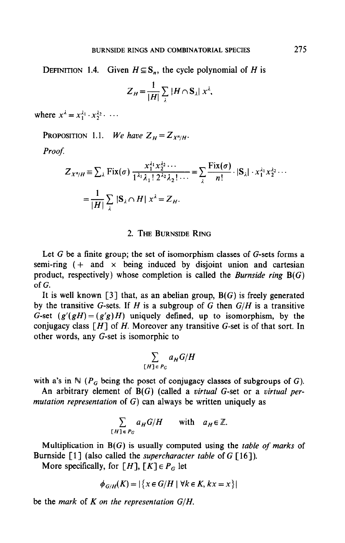DEFINITION 1.4. Given  $H \subseteq S_n$ , the cycle polynomial of H is

$$
Z_H = \frac{1}{|H|} \sum_{\lambda} |H \cap S_{\lambda}| x^{\lambda},
$$

where  $x^{\lambda} = x_1^{\lambda_1} \cdot x_2^{\lambda_2} \cdot \cdots$ 

PROPOSITION 1.1. We have  $Z_H = Z_{X^n/H}$ .

Proof.

$$
Z_{X^n/H} = \sum_{\lambda} \text{Fix}(\sigma) \frac{x_1^{\lambda_1} x_2^{\lambda_2} \cdots}{1^{\lambda_1} \lambda_1! 2^{\lambda_2} \lambda_2! \cdots} = \sum_{\lambda} \frac{\text{Fix}(\sigma)}{n!} \cdot |S_{\lambda}| \cdot x_1^{\lambda_1} x_2^{\lambda_2} \cdots
$$

$$
= \frac{1}{|H|} \sum_{\lambda} |S_{\lambda} \cap H| x^{\lambda} = Z_H.
$$

#### 2. THE BURNSIDE RING

Let  $G$  be a finite group; the set of isomorphism classes of  $G$ -sets forms a semi-ring  $( +$  and  $\times$  being induced by disjoint union and cartesian product, respectively) whose completion is called the *Burnside ring*  $B(G)$  $\alpha$ 

It is well known [3] that, as an abelian group,  $B(G)$  is freely generated by the transitive G-sets. If H is a subgroup of G then  $G/H$  is a transitive G-set  $(g'(gH) = (g'g)H)$  uniquely defined, up to isomorphism, by the conjugacy class  $[H]$  of H. Moreover any transitive G-set is of that sort. In other words, any G-set is isomorphic to

$$
\sum_{[H]\in P_G} a_H G/H
$$

with a's in  $\mathbb{N}$  ( $P_G$  being the poset of conjugacy classes of subgroups of G).

An arbitrary element of  $B(G)$  (called a virtual G-set or a virtual permutation representation of  $G$ ) can always be written uniquely as

$$
\sum_{[H] \in P_G} a_H G/H \quad \text{with} \quad a_H \in \mathbb{Z}.
$$

Multiplication in  $B(G)$  is usually computed using the *table of marks* of Burnside  $\lceil 1 \rceil$  (also called the *supercharacter table* of G  $\lceil 16 \rceil$ ).

More specifically, for [H],  $[K] \in P_G$  let

$$
\phi_{G/H}(K) = |\{x \in G/H \mid \forall k \in K, kx = x\}|
$$

be the mark of K on the representation  $G/H$ .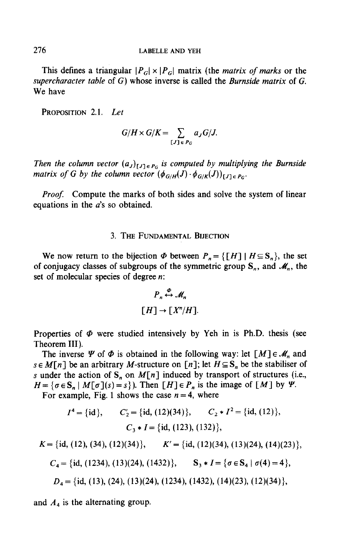This defines a triangular  $|P_G| \times |P_G|$  matrix (the *matrix of marks* or the supercharacter table of  $G$ ) whose inverse is called the Burnside matrix of  $G$ . We have

PROPOSITION 2.1. Let

$$
G/H \times G/K = \sum_{[J] \in P_G} a_J G/J.
$$

Then the column vector  $(a_J)_{[J]\in P_G}$  is computed by multiplying the Burnside matrix of G by the column vector  $(\phi_{G/H}(J) \cdot \phi_{G/K}(J))_{[J] \in P_G}$ .

Proof. Compute the marks of both sides and solve the system of linear equations in the  $a$ 's so obtained.

## 3. THE FUNDAMENTAL BIJECTION

We now return to the bijection  $\Phi$  between  $P_n = \{ [H] | H \subseteq S_n \}$ , the set of conjugacy classes of subgroups of the symmetric group  $S_n$ , and  $\mathcal{M}_n$ , the set of molecular species of degree *n*:

$$
P_n \stackrel{\varphi}{\leftrightarrow} \mathcal{M}_n
$$
  
[*H*]  $\rightarrow$  [*X*<sup>n</sup>/*H*].

Properties of  $\Phi$  were studied intensively by Yeh in is Ph.D. thesis (see Theorem III).

The inverse  $\Psi$  of  $\Phi$  is obtained in the following way: let  $[M] \in \mathcal{M}_n$  and  $s \in M[n]$  be an arbitrary M-structure on [n]; let  $H \subseteq S_n$  be the stabiliser of s under the action of  $S_n$  on  $M[n]$  induced by transport of structures (i.e.,  $H = \{ \sigma \in \mathbb{S}_n \mid M[\sigma](s) = s \}$ . Then  $[H] \in P_n$  is the image of  $[M]$  by  $\Psi$ .

For example, Fig. 1 shows the case  $n = 4$ , where

$$
I^4 = \{\text{id}\},
$$
  $C_2 = \{\text{id}, (12)(34)\},$   $C_2 * I^2 = \{\text{id}, (12)\},$   
 $C_3 * I = \{\text{id}, (123), (132)\},$ 

$$
K = \{\text{id}, (12), (34), (12)(34)\}, \qquad K' = \{\text{id}, (12)(34), (13)(24), (14)(23)\},
$$

$$
C_4 = \{\text{id}, (1234), (13)(24), (1432)\}, \qquad S_3 * I = \{\sigma \in S_4 \mid \sigma(4) = 4\},\
$$

$$
D_4 = \{id, (13), (24), (13)(24), (1234), (1432), (14)(23), (12)(34)\},
$$

and A4 is the alternating group.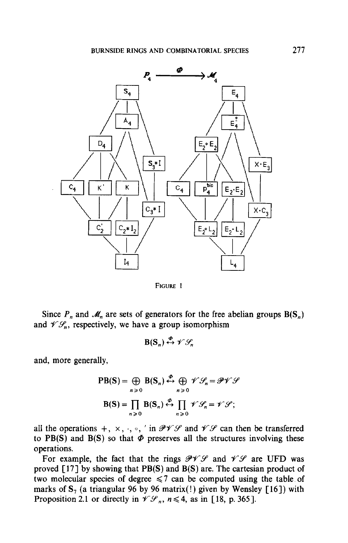

FIGURE 1

Since  $P_n$  and  $\mathcal{M}_n$  are sets of generators for the free abelian groups  $B(S_n)$ and  $\mathscr{V}\mathscr{S}_n$ , respectively, we have a group isomorphism

 $B(S_n) \stackrel{\phi}{\leftrightarrow} \mathscr{V}\mathscr{G}$ .

and, more generally,

$$
PB(S) = \bigoplus_{n \ge 0} B(S_n) \stackrel{\mathcal{P}}{\leftrightarrow} \bigoplus_{n \ge 0} \mathscr{V} \mathscr{S}_n = \mathscr{P} \mathscr{V} \mathscr{S}
$$

$$
B(S) = \prod_{n \ge 0} B(S_n) \stackrel{\mathcal{P}}{\leftrightarrow} \prod_{n \ge 0} \mathscr{V} \mathscr{S}_n = \mathscr{V} \mathscr{S};
$$

all the operations +,  $\times$ ,  $\cdot$ ,  $\circ$ , ' in  $P \mathcal{V} \mathcal{S}$  and  $\mathcal{V} \mathcal{S}$  can then be transferred to PB(S) and B(S) so that  $\Phi$  preserves all the structures involving these operations.

For example, the fact that the rings  $\mathcal{PVP}$  and  $\mathcal{VP}$  are UFD was proved  $[17]$  by showing that PB(S) and B(S) are. The cartesian product of two molecular species of degree  $\leq 7$  can be computed using the table of marks of  $S_7$  (a triangular 96 by 96 matrix(!) given by Wensley [16]) with Proposition 2.1 or directly in  $\mathcal{V}\mathcal{S}_n$ ,  $n \leq 4$ , as in [18, p. 365].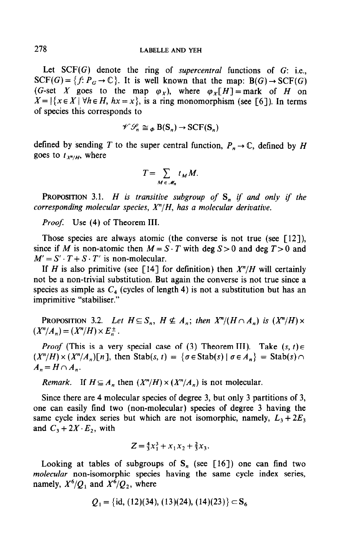Let  $SCF(G)$  denote the ring of *supercentral* functions of  $G$ : i.e.,  $SCF(G) = \{f: P_G \to \mathbb{C}\}.$  It is well known that the map:  $B(G) \to SCF(G)$ (G-set X goes to the map  $\varphi_X$ ), where  $\varphi_Y[H] =$ mark of H on  $X = |\{x \in X \mid \forall h \in H, hx = x\}|$ , is a ring monomorphism (see [6]). In terms of species this corresponds to

$$
\mathscr{V}\mathscr{S}_n \cong_{\Phi} \mathrm{B}(\mathrm{S}_n) \to \mathrm{SCF}(\mathrm{S}_n)
$$

defined by sending T to the super central function,  $P_n \to \mathbb{C}$ , defined by H goes to  $t_{\chi^n/H}$ , where

$$
T=\sum_{M\in\mathscr{M}_n}t_M M.
$$

PROPOSITION 3.1. H is transitive subgroup of  $S_n$  if and only if the corresponding molecular species,  $X^n/H$ , has a molecular derivative.

Proof. Use (4) of Theorem III.

Those species are always atomic (the converse is not true (see  $\lceil 12 \rceil$ ), since if M is non-atomic then  $M = S \cdot T$  with deg  $S > 0$  and deg  $T > 0$  and  $M' = S' \cdot T + S \cdot T'$  is non-molecular.

If H is also primitive (see [14] for definition) then  $X^n/H$  will certainly not be a non-trivial substitution. But again the converse is not true since a species as simple as  $C_4$  (cycles of length 4) is not a substitution but has an imprimitive "stabiliser."

**PROPOSITION** 3.2. Let  $H \subseteq S_n$ ,  $H \nsubseteq A_n$ ; then  $X^n/(H \cap A_n)$  is  $(X^n/H) \times$  $(X^n/A_n) = (X^n/H) \times E_n^{\pm}.$ 

*Proof* (This is a very special case of (3) Theorem III). Take  $(s, t) \in$  $(X^n/H) \times (X^n/A_n)[n]$ , then Stab(s, t) = { $\sigma \in$  Stab(s) |  $\sigma \in A_n$ } = Stab(s)  $\cap$  $A_n = H \cap A_n$ .

Remark. If  $H \subseteq A_n$ , then  $(X^n/H) \times (X^n/A_n)$  is not molecular.

Since there are 4 molecular species of degree 3, but only 3 partitions of 3, one can easily find two (non-molecular) species of degree 3 having the same cycle index series but which are not isomorphic, namely,  $L_1, L_2$  $\frac{1}{2}$   $\frac{1}{2}$   $\frac{1}{2}$   $\frac{1}{2}$   $\frac{1}{2}$   $\frac{1}{2}$   $\frac{1}{2}$   $\frac{1}{2}$   $\frac{1}{2}$   $\frac{1}{2}$   $\frac{1}{2}$   $\frac{1}{2}$   $\frac{1}{2}$   $\frac{1}{2}$   $\frac{1}{2}$   $\frac{1}{2}$   $\frac{1}{2}$   $\frac{1}{2}$   $\frac{1}{2}$   $\frac{1}{2}$   $\frac{1}{2}$   $\frac{1}{2}$ 

$$
Z = \frac{4}{3}x_1^3 + x_1x_2 + \frac{2}{3}x_3.
$$

Looking at tables of subgroups of  $S_n$  (see [16]) one can find two molecular non-isomorphic species having the same cycle index series, namely,  $X^6/Q_1$  and  $X^6/Q_2$ , where

$$
Q_1 = \{\text{id}, (12)(34), (13)(24), (14)(23)\} \subset S_6
$$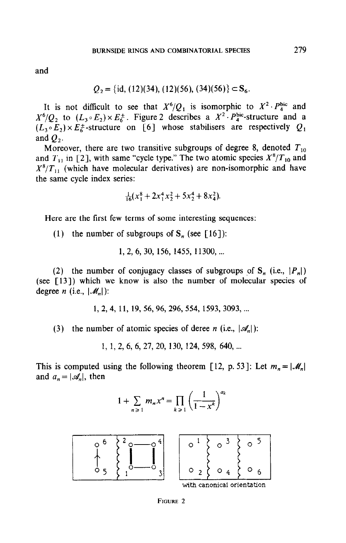$$
Q_2 = \{\text{id}, (12)(34), (12)(56), (34)(56)\} \subset S_6.
$$

It is not difficult to see that  $X^6/Q_1$  is isomorphic to  $X^2 \cdot P_4^{\text{bic}}$  and  $X^6/Q_2$  to  $(L_3 \circ E_2) \times E_6^+$ . Figure 2 describes a  $X^2 \cdot P_4^{\text{bic}}$ -structure and a  $(L_3 \circ E_2) \times E_6^{\pm}$ -structure on [6] whose stabilisers are respectively  $Q_1$ and  $Q_2$ .

Moreover, there are two transitive subgroups of degree 8, denoted  $T_{10}$ and  $T_{11}$  in [2], with same "cycle type." The two atomic species  $X^8/T_{10}$  and  $X^8/T_{11}$  (which have molecular derivatives) are non-isomorphic and have the same cycle index series:

$$
\frac{1}{16}(x_1^8 + 2x_1^4x_2^2 + 5x_2^4 + 8x_4^2).
$$

Here are the first few terms of some interesting sequences:

(1) the number of subgroups of  $S_n$  (see [16]):

1, 2, 6, 30, 156, 1455, 11300, ...

(2) the number of conjugacy classes of subgroups of  $S_n$  (i.e.,  $|P_n|$ ) (see  $\lceil 13 \rceil$ ) which we know is also the number of molecular species of degree *n* (i.e.,  $|\mathcal{M}_n|$ ):

1, 2, 4, 11, 19, 56, 96, 296, 554, 1593, 3093, ...

(3) the number of atomic species of deree n (i.e.,  $|\mathcal{A}_n|$ ):

1, 1, 2, 6, 6, 27, 20, 130, 124, 598, 640, ...

This is computed using the following theorem [12, p. 53]: Let  $m_n = |\mathcal{M}_n|$ and  $a_n = |\mathcal{A}_n|$ , then

$$
1 + \sum_{n \geq 1} m_n x^n = \prod_{k \geq 1} \left( \frac{1}{1 - x^k} \right)^{\alpha_k}
$$

 $\overline{1}$ 

 $\sqrt{a}$ 

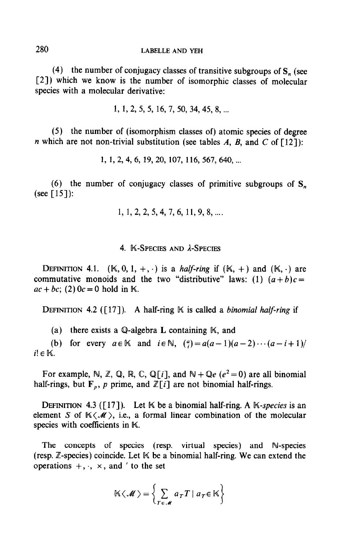(4) the number of conjugacy classes of transitive subgroups of  $S_n$  (see [2]) which we know is the number of isomorphic classes of molecular species with a molecular derivative:

 $1, 1, 2, 5, 5, 16, 7, 50, 34, 45, 8, \dots$ 

(5) the number of (isomorphism classes of) atomic species of degree *n* which are not non-trivial substitution (see tables A, B, and C of  $[12]$ ):

1, 1, 2, 4, 6, 19, 20, 107, 116, 567, 640, ...

(6) the number of conjugacy classes of primitive subgroups of S, (see  $[15]$ ):

 $1, 1, 2, 2, 5, 4, 7, 6, 11, 9, 8, \dots$ .

### 4. **K-SPECIES AND** *L***-SPECIES**

DEFINITION 4.1.  $(K, 0, 1, +, \cdot)$  is a *half-ring* if  $(K, +)$  and  $(K, \cdot)$  are commutative monoids and the two "distributive" laws: (1)  $(a + b)c =$  $ac + bc$ ; (2)  $0c = 0$  hold in K.

DEFINITION 4.2 ( $[17]$ ). A half-ring K is called a *binomial half-ring* if

(a) there exists a Q-algebra L containing  $\mathbb{K}$ , and

(b) for every  $a \in \mathbb{K}$  and  $i \in \mathbb{N}$ ,  $\binom{a}{i} = a(a-1)(a-2)\cdots(a-i+1)/2$  $i! \in \mathbb{K}$ .

For example, N, Z, Q, R, C, Q[i], and  $\mathbb{N} + \mathbb{Q}e$  ( $e^2 = 0$ ) are all binomial half-rings, but  $\mathbf{F}_n$ , p prime, and  $\mathbb{Z}[i]$  are not binomial half-rings.

DEFINITION 4.3 ( $[17]$ ). Let K be a binomial half-ring. A K-species is an element S of  $K(\mathcal{M})$ , i.e., a formal linear combination of the molecular species with coefficients in K.

The concepts of species (resp. virtual species) and N-species (resp.  $\mathbb{Z}$ -species) coincide. Let  $\mathbb{K}$  be a binomial half-ring. We can extend the operations  $+$ ,  $\cdot$ ,  $\times$ , and ' to the set

$$
\mathbb{K}\langle\mathscr{M}\rangle = \left\{\sum_{T\in\mathscr{M}} a_T T \mid a_T \in \mathbb{K}\right\}
$$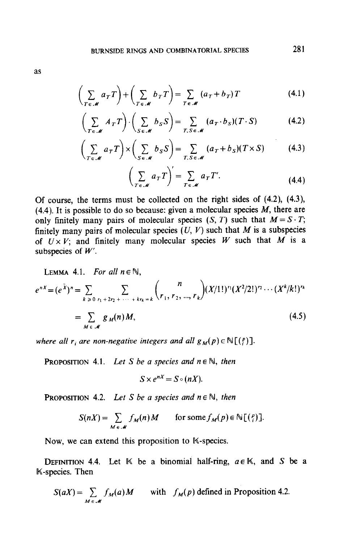$$
\left(\sum_{T \in \mathscr{M}} a_T T\right) + \left(\sum_{T \in \mathscr{M}} b_T T\right) = \sum_{T \in \mathscr{M}} \left(a_T + b_T\right) T \tag{4.1}
$$

$$
\left(\sum_{T \in \mathscr{M}} A_T T\right) \cdot \left(\sum_{S \in \mathscr{M}} b_S S\right) = \sum_{T, S \in \mathscr{M}} (a_T \cdot b_S)(T \cdot S) \tag{4.2}
$$

$$
\left(\sum_{T \in \mathscr{M}} a_T T\right) \times \left(\sum_{S \in \mathscr{M}} b_S S\right) = \sum_{T, S \in \mathscr{M}} (a_T + b_S)(T \times S) \tag{4.3}
$$

$$
\left(\sum_{T \in \mathscr{M}} a_T T\right)' = \sum_{T \in \mathscr{M}} a_T T'.
$$
\n(4.4)

Of course, the terms must be collected on the right sides of (4.2), (4.3),  $(4.4)$ . It is possible to do so because: given a molecular species M, there are only finitely many pairs of molecular species  $(S, T)$  such that  $M = S \cdot T$ ; finitely many pairs of molecular species  $(U, V)$  such that M is a subspecies of  $U \times V$ ; and finitely many molecular species W such that M is a subspecies of  $W'$ .

LEMMA 4.1. For all 
$$
n \in \mathbb{N}
$$
,  
\n
$$
e^{nX} = (e^{\bar{X}})^n = \sum_{k \ge 0} \sum_{r_1 + 2r_2 + \dots + kr_k = k} {n \choose r_1, r_2, ..., r_k} (X/1!)^{r_1} (X^2/2!)^{r_2} \cdots (X^k/k!)^{r_k}
$$
\n
$$
= \sum_{M \in \mathcal{M}} g_M(n) M,
$$
\n(4.5)

where all r<sub>i</sub> are non-negative integers and all  $g_M(p) \in \mathbb{N}[(p^e)]$ .

**PROPOSITION 4.1.** Let S be a species and  $n \in \mathbb{N}$ , then

$$
S\times e^{nX}=S\circ (nX).
$$

**PROPOSITION 4.2.** Let S be a species and  $n \in \mathbb{N}$ , then

$$
S(nX) = \sum_{M \in \mathscr{M}} f_M(n) M \quad \text{for some } f_M(p) \in \mathbb{N} \big[ \big( \begin{smallmatrix} p \\ i \end{smallmatrix} \big) \big].
$$

Now, we can extend this proposition to K-species.

 $\mathbf{D} = \mathbf{A} \mathbf{A} + \mathbf{A} \mathbf{A} + \mathbf{A} \mathbf{A} + \mathbf{A} \mathbf{A} + \mathbf{A} \mathbf{A} + \mathbf{A} \mathbf{A} + \mathbf{A} \mathbf{A} + \mathbf{A} \mathbf{A} + \mathbf{A} \mathbf{A} + \mathbf{A} \mathbf{A} + \mathbf{A} \mathbf{A} + \mathbf{A} \mathbf{A} + \mathbf{A} \mathbf{A} + \mathbf{A} \mathbf{A} + \mathbf{A} \mathbf{A} + \mathbf{A} \mathbf{A} + \mathbf{A$  $\mu$  Definition  $\tau$ 

$$
S(aX) = \sum_{M \in \mathcal{M}} f_M(a)M \quad \text{with} \quad f_M(p) \text{ defined in Proposition 4.2.}
$$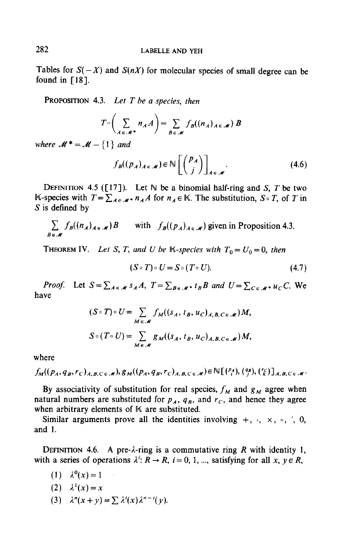Tables for  $S(-X)$  and  $S(nX)$  for molecular species of small degree can be found in  $[18]$ .

**PROPOSITION** 4.3. Let  $T$  be a species, then

$$
T \circ \left( \sum_{A \in \mathscr{M}^*} n_A A \right) = \sum_{B \in \mathscr{M}} f_B((n_A)_{A \in \mathscr{M}}) B
$$

where  $M^* = M - \{1\}$  and

$$
f_B((p_A)_{A \in \mathscr{M}}) \in \mathbb{N}\left[\binom{p_A}{j}\right]_{A \in \mathscr{M}}.\tag{4.6}
$$

DEFINITION 4.5 ( $[17]$ ). Let N be a binomial half-ring and S, T be two K-species with  $T = \sum_{A \in \mathcal{M}} n_A A$  for  $n_A \in \mathbb{K}$ . The substitution,  $S \circ T$ , of T in S is defined by

$$
\sum_{B \in \mathcal{M}} f_B((n_A)_{A \in \mathcal{M}}) B \quad \text{with} \quad f_B((p_A)_{A \in \mathcal{M}}) \text{ given in Proposition 4.3.}
$$

**THEOREM IV.** Let S, T, and U be K-species with  $T_0 = U_0 = 0$ , then

$$
(S \circ T) \circ U = S \circ (T \circ U). \tag{4.7}
$$

*Proof.* Let  $S = \sum_{A \in \mathcal{M}} s_A A$ ,  $T = \sum_{B \in \mathcal{M}^*} t_B B$  and  $U = \sum_{C \in \mathcal{M}^*} u_C C$ . We have

$$
(S \circ T) \circ U = \sum_{M \in \mathcal{M}} f_M((s_A, t_B, u_C)_{A, B, C \in \mathcal{M}})M,
$$
  

$$
S \circ (T \circ U) = \sum_{M \in \mathcal{M}} g_M((s_A, t_B, u_C)_{A, B, C \in \mathcal{M}})M,
$$

where

$$
f_M((p_A,q_B,r_C)_{A,B,C\in\mathscr{M}}),g_M((p_A,q_B,r_C)_{A,B,C\in\mathscr{M}})\in\mathbb{N}[(\begin{smallmatrix}p_A\\i\end{smallmatrix}),(\begin{smallmatrix}q_B\\j\end{smallmatrix}),(\begin{smallmatrix}r_C\\k\end{smallmatrix})_{A,B,C\in\mathscr{M}}.
$$

By associativity of substitution for real species,  $f_M$  and  $g_M$  agree when natural numbers are substituted for  $p_A$ ,  $q_B$ , and  $r_C$ , and hence they agree when arbitrary elements of  $K$  are substituted.

Similar arguments prove all the identities involving  $+$ ,  $\cdot$ ,  $\times$ ,  $\circ$ ,  $\cdot'$ , 0, and 1.

DEFINITION 4.6. A pre- $\lambda$ -ring is a commutative ring R with identity 1, with a series of operations  $\lambda^i: R \to R$ ,  $i = 0, 1, ...$ , satisfying for all  $x, y \in R$ ,

- (1)  $\lambda^{0}(x) = 1$
- (2)  $\lambda^{1}(x) = x$
- (3)  $\lambda^n(x+y)=\sum \lambda'(x)\lambda^{n-1}(y)$ .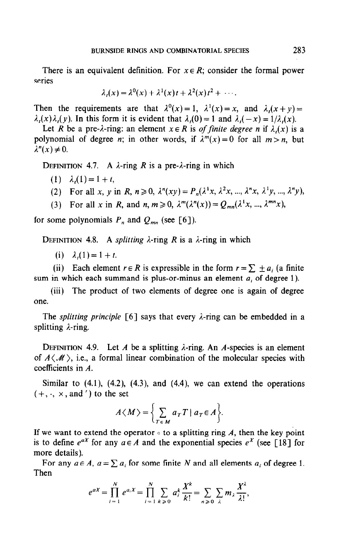There is an equivalent definition. For  $x \in R$ ; consider the formal power series

$$
\lambda_t(x) = \lambda^0(x) + \lambda^1(x)t + \lambda^2(x)t^2 + \cdots
$$

Then the requirements are that  $\lambda^{0}(x) = 1$ ,  $\lambda^{1}(x) = x$ , and  $\lambda_{1}(x+y) = 1$  $\lambda(x)\lambda(x)$ . In this form it is evident that  $\lambda(0) = 1$  and  $\lambda(-x) = 1/\lambda(x)$ .

Let R be a pre- $\lambda$ -ring: an element  $x \in R$  is *of finite degree n* if  $\lambda_i(x)$  is a polynomial of degree *n*; in other words, if  $\lambda^{m}(x) = 0$  for all  $m > n$ , but  $\lambda^n(x) \neq 0$ .

DEFINITION 4.7. A  $\lambda$ -ring R is a pre- $\lambda$ -ring in which

- (1)  $\lambda_i(1)=1+t,$
- (2) For all x, y in R,  $n \ge 0$ ,  $\lambda^{n}(xy) = P_n(\lambda^{1}x, \lambda^{2}x, ..., \lambda^{n}x, \lambda^{1}y, ..., \lambda^{n}y)$ ,
- (3) For all x in R, and  $n, m \ge 0$ ,  $\lambda^m(\lambda^n(x)) = Q_{mn}(\lambda^1 x, ..., \lambda^{mn} x)$ ,

for some polynomials  $P_n$  and  $Q_{mn}$  (see [6]).

DEFINITION 4.8. A *splitting*  $\lambda$ -ring R is a  $\lambda$ -ring in which

(i)  $\lambda_i(1) = 1 + t$ .

(ii) Each element  $r \in R$  is expressible in the form  $r = \sum \pm a_i$  (a finite sum in which each summand is plus-or-minus an element  $a_i$  of degree 1).

(iii) The product of two elements of degree one is again of degree one.

The *splitting principle*  $\lceil 6 \rceil$  says that every  $\lambda$ -ring can be embedded in a splitting  $\lambda$ -ring.

DEFINITION 4.9. Let A be a splitting  $\lambda$ -ring. An A-species is an element of  $A\langle M\rangle$ , i.e., a formal linear combination of the molecular species with coefficients in A.

Similar to  $(4.1)$ ,  $(4.2)$ ,  $(4.3)$ , and  $(4.4)$ , we can extend the operations  $(+, \cdot, \times, \text{and} ')$  to the set

$$
A\langle M\rangle = \bigg\{\sum_{T\in M} a_T T \mid a_T \in A\bigg\}.
$$

If we want to extend the operator  $\circ$  to a splitting ring A, then the key point is to define  $e^{ax}$  for any  $a \in A$  and the exponential species  $e^x$  (see [18] for more details).

For any  $a \in A$ ,  $a = \sum a_i$  for some finite N and all elements  $a_i$  of degree 1. Then

$$
e^{aX} = \prod_{i=1}^{N} e^{a_i X} = \prod_{i=1}^{N} \sum_{k \geq 0} a_i^k \frac{X^k}{k!} = \sum_{n \geq 0} \sum_{\lambda} m_{\lambda} \frac{X^{\lambda}}{\lambda!},
$$